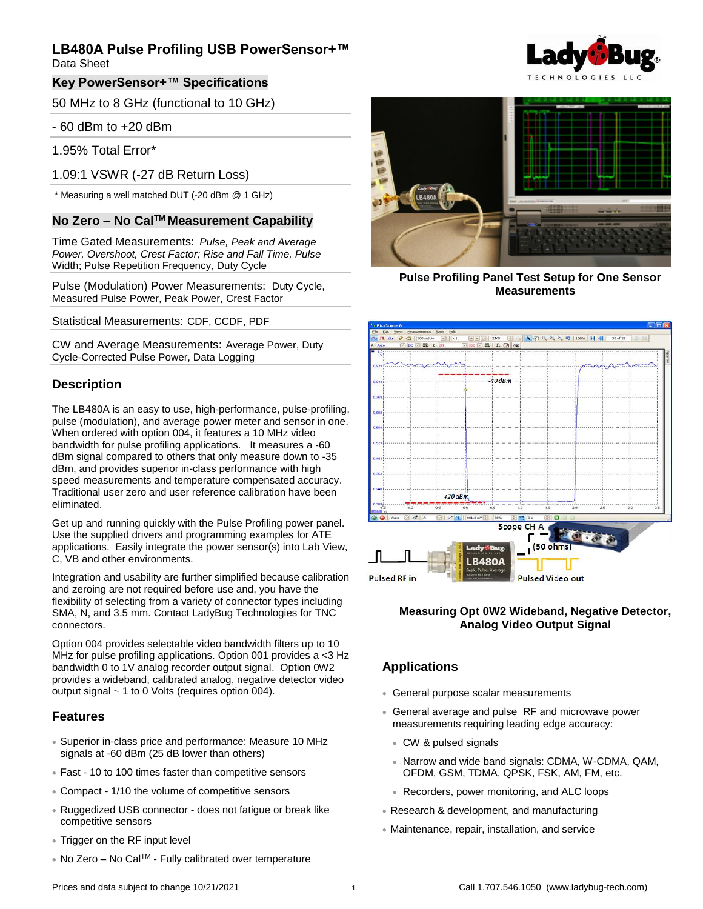Data Sheet

#### **Key PowerSensor+™ Specifications**

50 MHz to 8 GHz (functional to 10 GHz)

#### - 60 dBm to +20 dBm

1.95% Total Error\*

1.09:1 VSWR (-27 dB Return Loss)

\* Measuring a well matched DUT (-20 dBm @ 1 GHz)

## **No Zero – No CalTM Measurement Capability**

Time Gated Measurements: *Pulse, Peak and Average Power, Overshoot, Crest Factor; Rise and Fall Time, Pulse*  Width; Pulse Repetition Frequency, Duty Cycle

Pulse (Modulation) Power Measurements: Duty Cycle, Measured Pulse Power, Peak Power, Crest Factor

Statistical Measurements: CDF, CCDF, PDF

CW and Average Measurements: Average Power, Duty Cycle-Corrected Pulse Power, Data Logging

#### **Description**

The LB480A is an easy to use, high-performance, pulse-profiling, pulse (modulation), and average power meter and sensor in one. When ordered with option 004, it features a 10 MHz video bandwidth for pulse profiling applications. It measures a -60 dBm signal compared to others that only measure down to -35 dBm, and provides superior in-class performance with high speed measurements and temperature compensated accuracy. Traditional user zero and user reference calibration have been eliminated.

Get up and running quickly with the Pulse Profiling power panel. Use the supplied drivers and programming examples for ATE applications. Easily integrate the power sensor(s) into Lab View, C, VB and other environments.

Integration and usability are further simplified because calibration and zeroing are not required before use and, you have the flexibility of selecting from a variety of connector types including SMA, N, and 3.5 mm. Contact LadyBug Technologies for TNC connectors.

Option 004 provides selectable video bandwidth filters up to 10 MHz for pulse profiling applications. Option 001 provides a <3 Hz bandwidth 0 to 1V analog recorder output signal. Option 0W2 provides a wideband, calibrated analog, negative detector video output signal ~ 1 to 0 Volts (requires option 004).

#### **Features**

- Superior in-class price and performance: Measure 10 MHz signals at -60 dBm (25 dB lower than others)
- Fast 10 to 100 times faster than competitive sensors
- Compact 1/10 the volume of competitive sensors
- Ruggedized USB connector does not fatigue or break like competitive sensors
- Trigger on the RF input level
- No Zero No Cal<sup>™</sup> Fully calibrated over temperature





**Pulse Profiling Panel Test Setup for One Sensor Measurements**



#### **Measuring Opt 0W2 Wideband, Negative Detector, Analog Video Output Signal**

### **Applications**

- General purpose scalar measurements
- General average and pulse RF and microwave power measurements requiring leading edge accuracy:
	- CW & pulsed signals
	- Narrow and wide band signals: CDMA, W-CDMA, QAM, OFDM, GSM, TDMA, QPSK, FSK, AM, FM, etc.
	- Recorders, power monitoring, and ALC loops
- Research & development, and manufacturing
- Maintenance, repair, installation, and service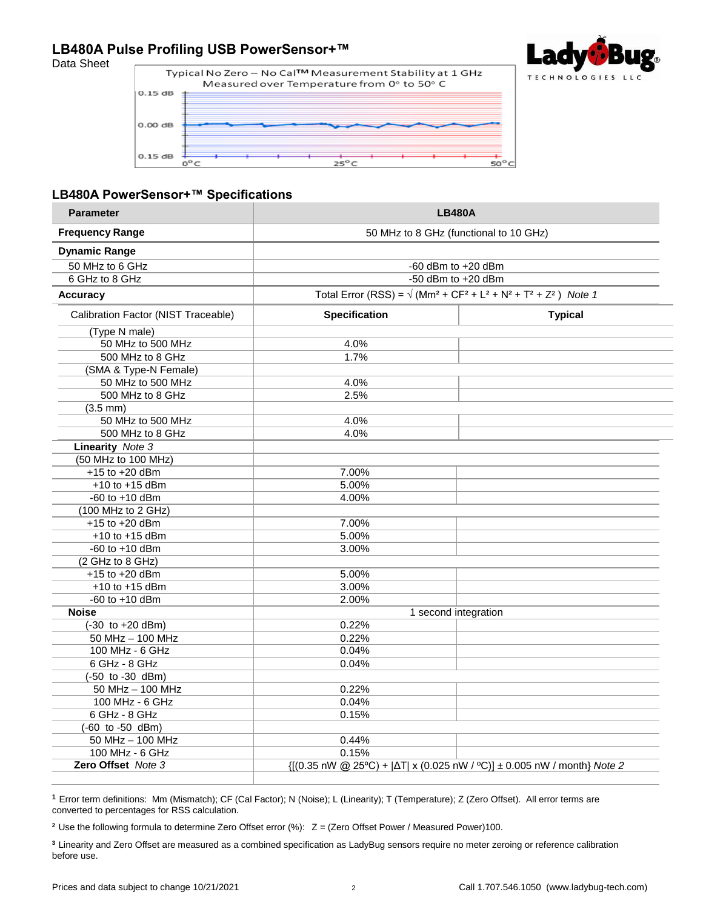#### **LB480A Pulse Profiling USB PowerSensor+™** Data Sheet



#### **LB480A PowerSensor+™ Specifications**

| <b>Parameter</b>                           | <b>LB480A</b>                                                                                                                                         |                |
|--------------------------------------------|-------------------------------------------------------------------------------------------------------------------------------------------------------|----------------|
| <b>Frequency Range</b>                     | 50 MHz to 8 GHz (functional to 10 GHz)                                                                                                                |                |
| <b>Dynamic Range</b>                       |                                                                                                                                                       |                |
| 50 MHz to 6 GHz                            | -60 dBm to $+20$ dBm                                                                                                                                  |                |
| 6 GHz to 8 GHz                             | $-50$ dBm to $+20$ dBm                                                                                                                                |                |
| <b>Accuracy</b>                            | Total Error (RSS) = $\sqrt{(Mm^2 + CF^2 + L^2 + N^2 + T^2 + Z^2)}$ Note 1                                                                             |                |
| Calibration Factor (NIST Traceable)        | <b>Specification</b>                                                                                                                                  | <b>Typical</b> |
| (Type N male)                              |                                                                                                                                                       |                |
| 50 MHz to 500 MHz                          | 4.0%                                                                                                                                                  |                |
| 500 MHz to 8 GHz                           | 1.7%                                                                                                                                                  |                |
| (SMA & Type-N Female)                      |                                                                                                                                                       |                |
| 50 MHz to 500 MHz                          | 4.0%                                                                                                                                                  |                |
| 500 MHz to 8 GHz                           | 2.5%                                                                                                                                                  |                |
| $(3.5 \, \text{mm})$                       |                                                                                                                                                       |                |
| 50 MHz to 500 MHz                          | 4.0%                                                                                                                                                  |                |
| 500 MHz to 8 GHz                           | 4.0%                                                                                                                                                  |                |
| <b>Linearity</b> Note 3                    |                                                                                                                                                       |                |
| (50 MHz to 100 MHz)                        |                                                                                                                                                       |                |
| $+15$ to $+20$ dBm                         | 7.00%                                                                                                                                                 |                |
| $+10$ to $+15$ dBm                         | 5.00%                                                                                                                                                 |                |
| $-60$ to $+10$ dBm                         | 4.00%                                                                                                                                                 |                |
| (100 MHz to 2 GHz)                         |                                                                                                                                                       |                |
| $+15$ to $+20$ dBm                         | 7.00%                                                                                                                                                 |                |
| $+10$ to $+15$ dBm                         | 5.00%                                                                                                                                                 |                |
| $-60$ to $+10$ dBm                         | 3.00%                                                                                                                                                 |                |
| (2 GHz to 8 GHz)                           |                                                                                                                                                       |                |
| $+15$ to $+20$ dBm                         | 5.00%                                                                                                                                                 |                |
| $+10$ to $+15$ dBm                         | 3.00%                                                                                                                                                 |                |
| $-60$ to $+10$ dBm                         | 2.00%                                                                                                                                                 |                |
| <b>Noise</b>                               | 1 second integration                                                                                                                                  |                |
| $\sqrt{(-30 \text{ to } +20 \text{ dBm})}$ | 0.22%                                                                                                                                                 |                |
| 50 MHz - 100 MHz                           | 0.22%                                                                                                                                                 |                |
| 100 MHz - 6 GHz                            | 0.04%                                                                                                                                                 |                |
| 6 GHz - 8 GHz                              | 0.04%                                                                                                                                                 |                |
| (-50 to -30 dBm)                           |                                                                                                                                                       |                |
| 50 MHz - 100 MHz                           | 0.22%                                                                                                                                                 |                |
| 100 MHz - 6 GHz                            | 0.04%                                                                                                                                                 |                |
| 6 GHz - 8 GHz                              | 0.15%                                                                                                                                                 |                |
| (-60 to -50 dBm)                           |                                                                                                                                                       |                |
| 50 MHz - 100 MHz                           | 0.44%                                                                                                                                                 |                |
| 100 MHz - 6 GHz                            | 0.15%                                                                                                                                                 |                |
| Zero Offset Note 3                         | $\{[(0.35 \text{ nW} \text{ @ } 25^{\circ}\text{C}) +  \Delta T  \times (0.025 \text{ nW} / \text{°C})] \pm 0.005 \text{ nW} / \text{month}\}$ Note 2 |                |

<sup>1</sup> Error term definitions: Mm (Mismatch); CF (Cal Factor); N (Noise); L (Linearity); T (Temperature); Z (Zero Offset). All error terms are converted to percentages for RSS calculation.

<sup>2</sup> Use the following formula to determine Zero Offset error (%):  $Z = (Zero$  Offset Power / Measured Power)100.

**<sup>3</sup>**Linearity and Zero Offset are measured as a combined specification as LadyBug sensors require no meter zeroing or reference calibration before use.

Q.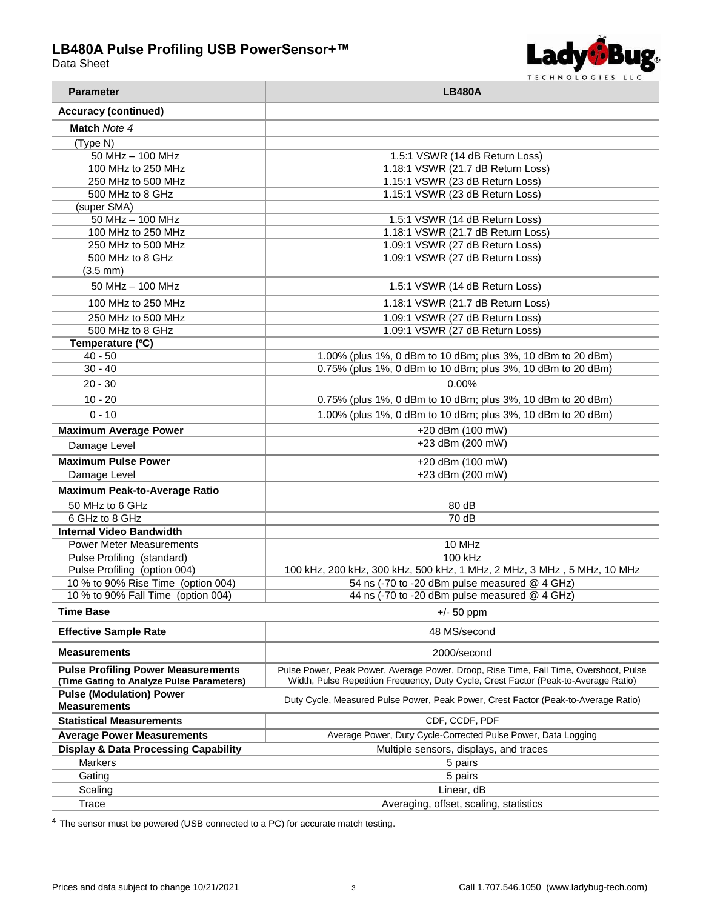



| <b>Parameter</b>                                       | <b>LB480A</b>                                                                         |  |
|--------------------------------------------------------|---------------------------------------------------------------------------------------|--|
| <b>Accuracy (continued)</b>                            |                                                                                       |  |
| Match Note 4                                           |                                                                                       |  |
| (Type N)                                               |                                                                                       |  |
| 50 MHz - 100 MHz                                       | 1.5:1 VSWR (14 dB Return Loss)                                                        |  |
| 100 MHz to 250 MHz                                     | 1.18:1 VSWR (21.7 dB Return Loss)                                                     |  |
| 250 MHz to 500 MHz                                     | 1.15:1 VSWR (23 dB Return Loss)                                                       |  |
| 500 MHz to 8 GHz                                       | 1.15:1 VSWR (23 dB Return Loss)                                                       |  |
| (super SMA)                                            |                                                                                       |  |
| 50 MHz - 100 MHz                                       | 1.5:1 VSWR (14 dB Return Loss)                                                        |  |
| 100 MHz to 250 MHz                                     | 1.18:1 VSWR (21.7 dB Return Loss)                                                     |  |
| 250 MHz to 500 MHz                                     | 1.09:1 VSWR (27 dB Return Loss)                                                       |  |
| 500 MHz to 8 GHz                                       | 1.09:1 VSWR (27 dB Return Loss)                                                       |  |
| $(3.5 \, \text{mm})$                                   |                                                                                       |  |
| 50 MHz - 100 MHz                                       | 1.5:1 VSWR (14 dB Return Loss)                                                        |  |
| 100 MHz to 250 MHz                                     | 1.18:1 VSWR (21.7 dB Return Loss)                                                     |  |
| 250 MHz to 500 MHz                                     | 1.09:1 VSWR (27 dB Return Loss)                                                       |  |
| 500 MHz to 8 GHz                                       | 1.09:1 VSWR (27 dB Return Loss)                                                       |  |
| Temperature (°C)                                       |                                                                                       |  |
| $40 - 50$                                              | 1.00% (plus 1%, 0 dBm to 10 dBm; plus 3%, 10 dBm to 20 dBm)                           |  |
| $30 - 40$                                              | 0.75% (plus 1%, 0 dBm to 10 dBm; plus 3%, 10 dBm to 20 dBm)                           |  |
| $20 - 30$                                              | 0.00%                                                                                 |  |
| $10 - 20$                                              | 0.75% (plus 1%, 0 dBm to 10 dBm; plus 3%, 10 dBm to 20 dBm)                           |  |
| $0 - 10$                                               | 1.00% (plus 1%, 0 dBm to 10 dBm; plus 3%, 10 dBm to 20 dBm)                           |  |
| <b>Maximum Average Power</b>                           | +20 dBm (100 mW)                                                                      |  |
| Damage Level                                           | +23 dBm (200 mW)                                                                      |  |
| <b>Maximum Pulse Power</b>                             | +20 dBm (100 mW)                                                                      |  |
| Damage Level                                           | +23 dBm (200 mW)                                                                      |  |
| <b>Maximum Peak-to-Average Ratio</b>                   |                                                                                       |  |
| 50 MHz to 6 GHz                                        | 80 dB                                                                                 |  |
| 6 GHz to 8 GHz                                         | 70 dB                                                                                 |  |
| <b>Internal Video Bandwidth</b>                        |                                                                                       |  |
| <b>Power Meter Measurements</b>                        | 10 MHz                                                                                |  |
| Pulse Profiling (standard)                             | 100 kHz                                                                               |  |
| Pulse Profiling (option 004)                           | 100 kHz, 200 kHz, 300 kHz, 500 kHz, 1 MHz, 2 MHz, 3 MHz, 5 MHz, 10 MHz                |  |
| 10 % to 90% Rise Time (option 004)                     | 54 ns (-70 to -20 dBm pulse measured @ 4 GHz)                                         |  |
| 10 % to 90% Fall Time (option 004)                     | 44 ns (-70 to -20 dBm pulse measured @ 4 GHz)                                         |  |
| Time Base                                              | $+/- 50$ ppm                                                                          |  |
| <b>Effective Sample Rate</b>                           | 48 MS/second                                                                          |  |
| <b>Measurements</b>                                    | 2000/second                                                                           |  |
| <b>Pulse Profiling Power Measurements</b>              | Pulse Power, Peak Power, Average Power, Droop, Rise Time, Fall Time, Overshoot, Pulse |  |
| (Time Gating to Analyze Pulse Parameters)              | Width, Pulse Repetition Frequency, Duty Cycle, Crest Factor (Peak-to-Average Ratio)   |  |
| <b>Pulse (Modulation) Power</b><br><b>Measurements</b> | Duty Cycle, Measured Pulse Power, Peak Power, Crest Factor (Peak-to-Average Ratio)    |  |
| <b>Statistical Measurements</b>                        | CDF, CCDF, PDF                                                                        |  |
| <b>Average Power Measurements</b>                      | Average Power, Duty Cycle-Corrected Pulse Power, Data Logging                         |  |
| <b>Display &amp; Data Processing Capability</b>        | Multiple sensors, displays, and traces                                                |  |
| <b>Markers</b>                                         | 5 pairs                                                                               |  |
| Gating                                                 | 5 pairs                                                                               |  |
| Scaling                                                | Linear, dB                                                                            |  |
| Trace                                                  | Averaging, offset, scaling, statistics                                                |  |

**<sup>4</sup>**The sensor must be powered (USB connected to a PC) for accurate match testing.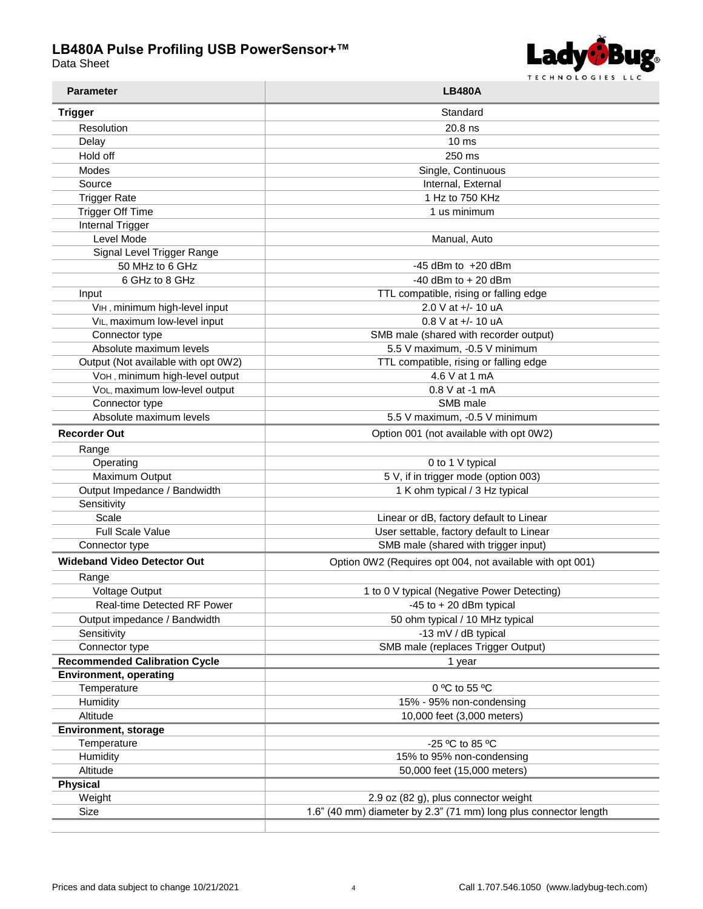П

Data Sheet



| <b>Parameter</b>                     | <b>LB480A</b>                                                    |  |
|--------------------------------------|------------------------------------------------------------------|--|
| <b>Trigger</b>                       | Standard                                                         |  |
| Resolution                           | 20.8 ns                                                          |  |
| Delay                                | 10 <sub>ms</sub>                                                 |  |
| Hold off                             | 250 ms                                                           |  |
| Modes                                | Single, Continuous                                               |  |
| Source                               | Internal, External                                               |  |
| <b>Trigger Rate</b>                  | 1 Hz to 750 KHz                                                  |  |
| <b>Trigger Off Time</b>              | 1 us minimum                                                     |  |
| <b>Internal Trigger</b>              |                                                                  |  |
| Level Mode                           | Manual, Auto                                                     |  |
| Signal Level Trigger Range           |                                                                  |  |
| 50 MHz to 6 GHz                      | $-45$ dBm to $+20$ dBm                                           |  |
| 6 GHz to 8 GHz                       | $-40$ dBm to $+20$ dBm                                           |  |
| Input                                | TTL compatible, rising or falling edge                           |  |
| VIH, minimum high-level input        | 2.0 V at +/- 10 uA                                               |  |
| VIL, maximum low-level input         | $0.8$ V at $+/- 10$ uA                                           |  |
| Connector type                       | SMB male (shared with recorder output)                           |  |
| Absolute maximum levels              | 5.5 V maximum, -0.5 V minimum                                    |  |
| Output (Not available with opt 0W2)  | TTL compatible, rising or falling edge                           |  |
| VOH, minimum high-level output       | 4.6 V at 1 mA                                                    |  |
| VOL, maximum low-level output        | $0.8$ V at -1 mA                                                 |  |
| Connector type                       | SMB male                                                         |  |
| Absolute maximum levels              | 5.5 V maximum, -0.5 V minimum                                    |  |
| <b>Recorder Out</b>                  | Option 001 (not available with opt 0W2)                          |  |
|                                      |                                                                  |  |
| Range                                | 0 to 1 V typical                                                 |  |
| Operating<br>Maximum Output          | 5 V, if in trigger mode (option 003)                             |  |
| Output Impedance / Bandwidth         | 1 K ohm typical / 3 Hz typical                                   |  |
| Sensitivity                          |                                                                  |  |
| Scale                                | Linear or dB, factory default to Linear                          |  |
| <b>Full Scale Value</b>              | User settable, factory default to Linear                         |  |
| Connector type                       | SMB male (shared with trigger input)                             |  |
|                                      |                                                                  |  |
| <b>Wideband Video Detector Out</b>   | Option 0W2 (Requires opt 004, not available with opt 001)        |  |
| Range                                |                                                                  |  |
| Voltage Output                       | 1 to 0 V typical (Negative Power Detecting)                      |  |
| Real-time Detected RF Power          | $-45$ to $+20$ dBm typical                                       |  |
| Output impedance / Bandwidth         | 50 ohm typical / 10 MHz typical                                  |  |
| Sensitivity                          | -13 mV / dB typical                                              |  |
| Connector type                       | SMB male (replaces Trigger Output)                               |  |
| <b>Recommended Calibration Cycle</b> | 1 year                                                           |  |
| <b>Environment, operating</b>        |                                                                  |  |
| Temperature                          | 0 °C to 55 °C                                                    |  |
| Humidity                             | 15% - 95% non-condensing                                         |  |
| Altitude                             | 10,000 feet (3,000 meters)                                       |  |
| <b>Environment, storage</b>          |                                                                  |  |
| Temperature                          | -25 °C to 85 °C                                                  |  |
| Humidity                             | 15% to 95% non-condensing                                        |  |
| Altitude                             | 50,000 feet (15,000 meters)                                      |  |
| <b>Physical</b>                      |                                                                  |  |
| Weight                               | 2.9 oz (82 g), plus connector weight                             |  |
| Size                                 | 1.6" (40 mm) diameter by 2.3" (71 mm) long plus connector length |  |
|                                      |                                                                  |  |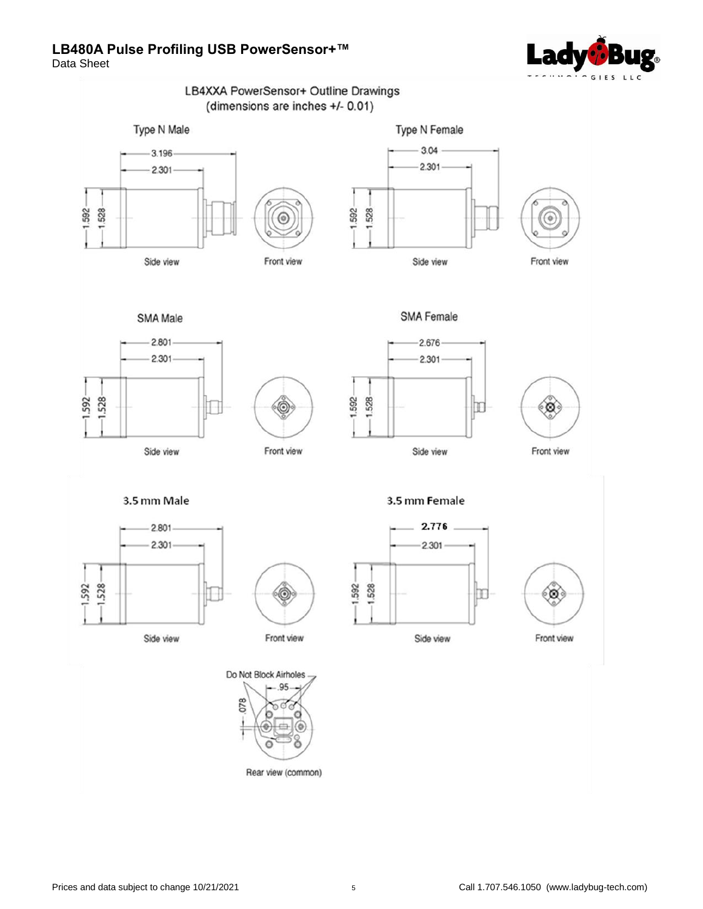

Data Sheet